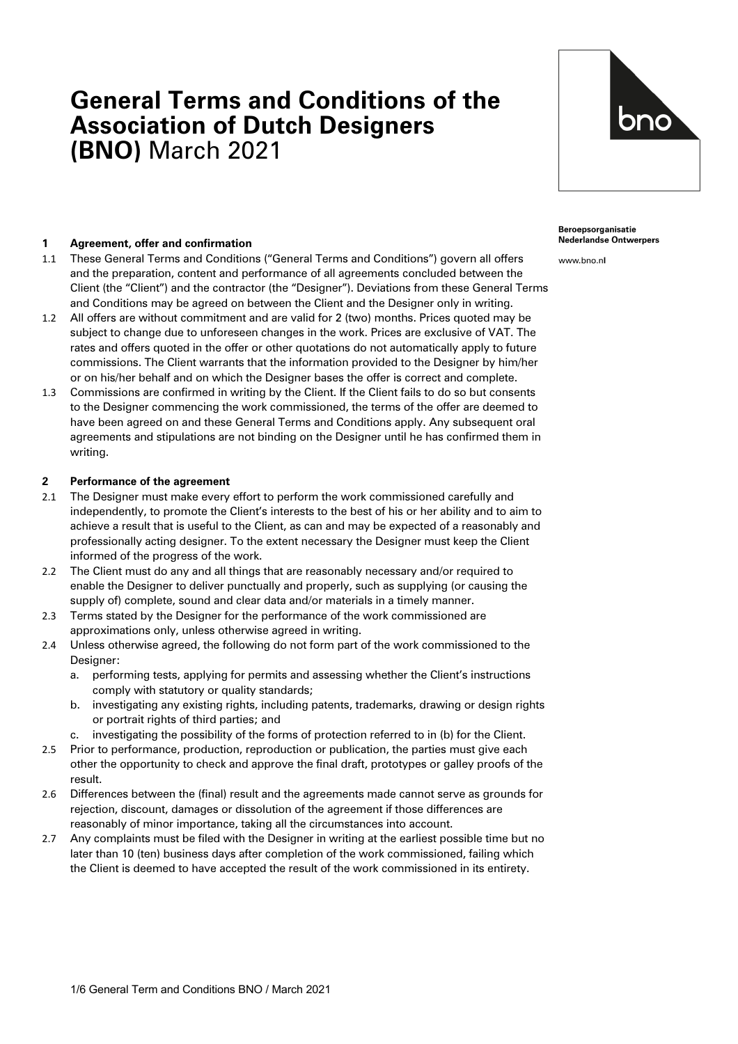# **General Terms and Conditions of the Association of Dutch Designers (BNO)** March 2021



#### **1 Agreement, offer and confirmation**

- 1.1 These General Terms and Conditions ("General Terms and Conditions") govern all offers and the preparation, content and performance of all agreements concluded between the Client (the "Client") and the contractor (the "Designer"). Deviations from these General Terms and Conditions may be agreed on between the Client and the Designer only in writing.
- 1.2 All offers are without commitment and are valid for 2 (two) months. Prices quoted may be subject to change due to unforeseen changes in the work. Prices are exclusive of VAT. The rates and offers quoted in the offer or other quotations do not automatically apply to future commissions. The Client warrants that the information provided to the Designer by him/her or on his/her behalf and on which the Designer bases the offer is correct and complete.
- 1.3 Commissions are confirmed in writing by the Client. If the Client fails to do so but consents to the Designer commencing the work commissioned, the terms of the offer are deemed to have been agreed on and these General Terms and Conditions apply. Any subsequent oral agreements and stipulations are not binding on the Designer until he has confirmed them in writing.

#### **2 Performance of the agreement**

- 2.1 The Designer must make every effort to perform the work commissioned carefully and independently, to promote the Client's interests to the best of his or her ability and to aim to achieve a result that is useful to the Client, as can and may be expected of a reasonably and professionally acting designer. To the extent necessary the Designer must keep the Client informed of the progress of the work.
- 2.2 The Client must do any and all things that are reasonably necessary and/or required to enable the Designer to deliver punctually and properly, such as supplying (or causing the supply of) complete, sound and clear data and/or materials in a timely manner.
- 2.3 Terms stated by the Designer for the performance of the work commissioned are approximations only, unless otherwise agreed in writing.
- 2.4 Unless otherwise agreed, the following do not form part of the work commissioned to the Designer:
	- a. performing tests, applying for permits and assessing whether the Client's instructions comply with statutory or quality standards;
	- b. investigating any existing rights, including patents, trademarks, drawing or design rights or portrait rights of third parties; and
	- c. investigating the possibility of the forms of protection referred to in (b) for the Client.
- 2.5 Prior to performance, production, reproduction or publication, the parties must give each other the opportunity to check and approve the final draft, prototypes or galley proofs of the result.
- 2.6 Differences between the (final) result and the agreements made cannot serve as grounds for rejection, discount, damages or dissolution of the agreement if those differences are reasonably of minor importance, taking all the circumstances into account.
- 2.7 Any complaints must be filed with the Designer in writing at the earliest possible time but no later than 10 (ten) business days after completion of the work commissioned, failing which the Client is deemed to have accepted the result of the work commissioned in its entirety.

Beroepsorganisatie **Nederlandse Ontwerpers** 

www.bno.nl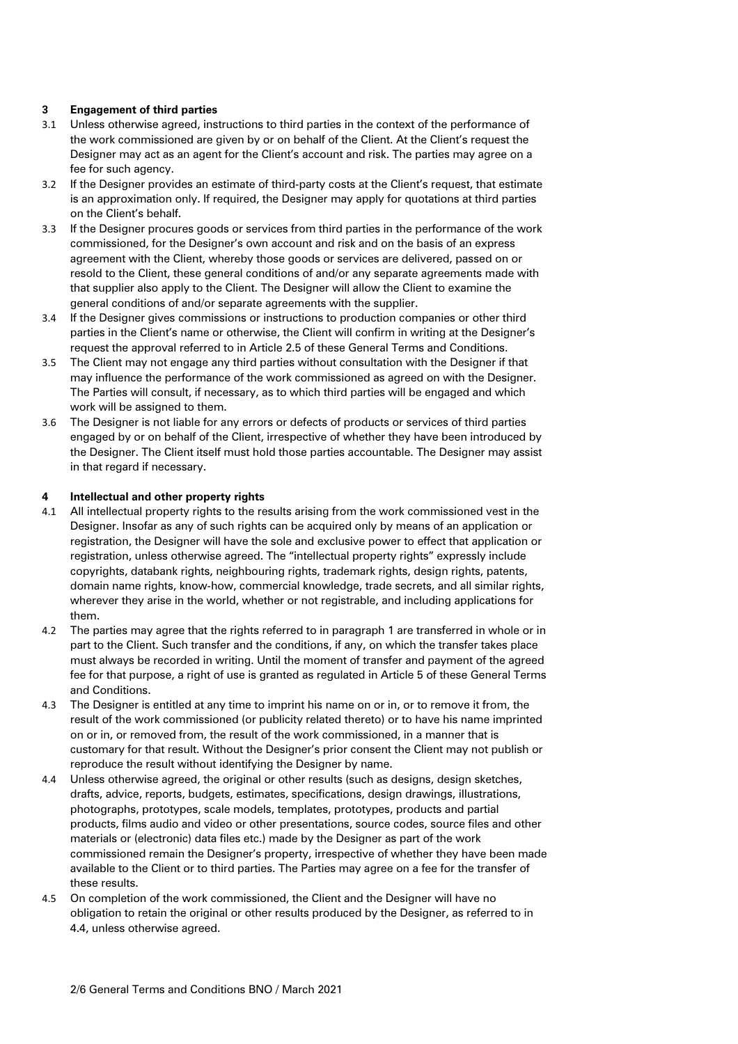## **3 Engagement of third parties**

- 3.1 Unless otherwise agreed, instructions to third parties in the context of the performance of the work commissioned are given by or on behalf of the Client. At the Client's request the Designer may act as an agent for the Client's account and risk. The parties may agree on a fee for such agency.
- 3.2 If the Designer provides an estimate of third-party costs at the Client's request, that estimate is an approximation only. If required, the Designer may apply for quotations at third parties on the Client's behalf.
- 3.3 If the Designer procures goods or services from third parties in the performance of the work commissioned, for the Designer's own account and risk and on the basis of an express agreement with the Client, whereby those goods or services are delivered, passed on or resold to the Client, these general conditions of and/or any separate agreements made with that supplier also apply to the Client. The Designer will allow the Client to examine the general conditions of and/or separate agreements with the supplier.
- 3.4 If the Designer gives commissions or instructions to production companies or other third parties in the Client's name or otherwise, the Client will confirm in writing at the Designer's request the approval referred to in Article 2.5 of these General Terms and Conditions.
- 3.5 The Client may not engage any third parties without consultation with the Designer if that may influence the performance of the work commissioned as agreed on with the Designer. The Parties will consult, if necessary, as to which third parties will be engaged and which work will be assigned to them.
- 3.6 The Designer is not liable for any errors or defects of products or services of third parties engaged by or on behalf of the Client, irrespective of whether they have been introduced by the Designer. The Client itself must hold those parties accountable. The Designer may assist in that regard if necessary.

# **4 Intellectual and other property rights**

- 4.1 All intellectual property rights to the results arising from the work commissioned vest in the Designer. Insofar as any of such rights can be acquired only by means of an application or registration, the Designer will have the sole and exclusive power to effect that application or registration, unless otherwise agreed. The "intellectual property rights" expressly include copyrights, databank rights, neighbouring rights, trademark rights, design rights, patents, domain name rights, know-how, commercial knowledge, trade secrets, and all similar rights, wherever they arise in the world, whether or not registrable, and including applications for them.
- 4.2 The parties may agree that the rights referred to in paragraph 1 are transferred in whole or in part to the Client. Such transfer and the conditions, if any, on which the transfer takes place must always be recorded in writing. Until the moment of transfer and payment of the agreed fee for that purpose, a right of use is granted as regulated in Article 5 of these General Terms and Conditions.
- 4.3 The Designer is entitled at any time to imprint his name on or in, or to remove it from, the result of the work commissioned (or publicity related thereto) or to have his name imprinted on or in, or removed from, the result of the work commissioned, in a manner that is customary for that result. Without the Designer's prior consent the Client may not publish or reproduce the result without identifying the Designer by name.
- 4.4 Unless otherwise agreed, the original or other results (such as designs, design sketches, drafts, advice, reports, budgets, estimates, specifications, design drawings, illustrations, photographs, prototypes, scale models, templates, prototypes, products and partial products, films audio and video or other presentations, source codes, source files and other materials or (electronic) data files etc.) made by the Designer as part of the work commissioned remain the Designer's property, irrespective of whether they have been made available to the Client or to third parties. The Parties may agree on a fee for the transfer of these results.
- 4.5 On completion of the work commissioned, the Client and the Designer will have no obligation to retain the original or other results produced by the Designer, as referred to in 4.4, unless otherwise agreed.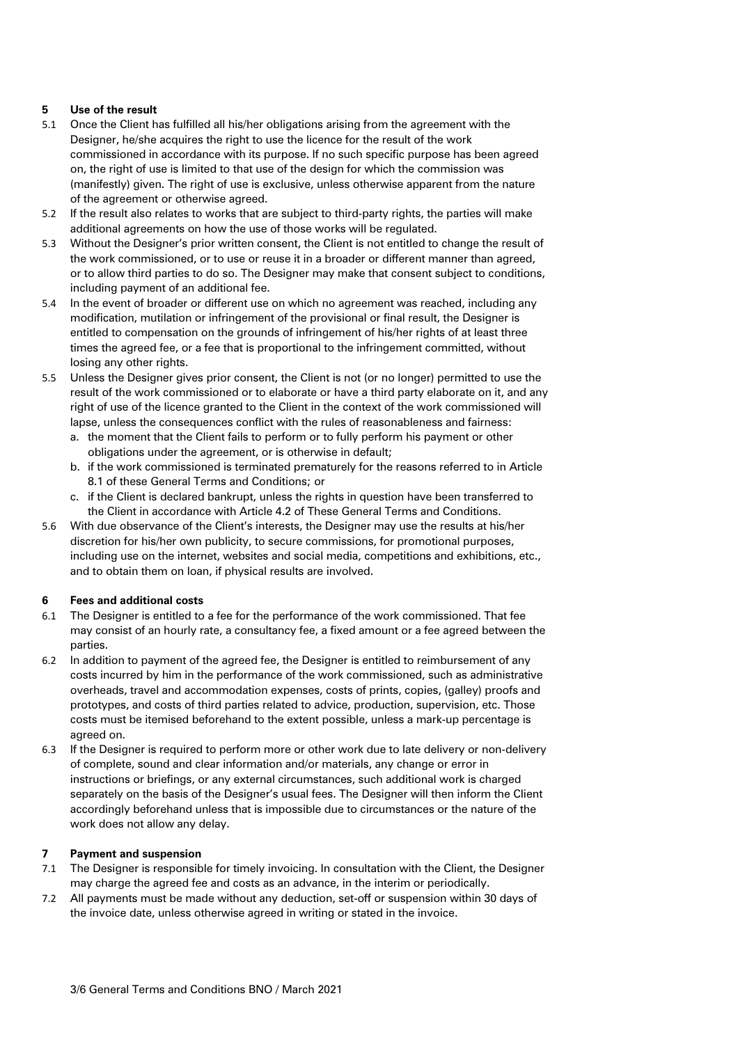# **5 Use of the result**

- 5.1 Once the Client has fulfilled all his/her obligations arising from the agreement with the Designer, he/she acquires the right to use the licence for the result of the work commissioned in accordance with its purpose. If no such specific purpose has been agreed on, the right of use is limited to that use of the design for which the commission was (manifestly) given. The right of use is exclusive, unless otherwise apparent from the nature of the agreement or otherwise agreed.
- 5.2 If the result also relates to works that are subject to third-party rights, the parties will make additional agreements on how the use of those works will be regulated.
- 5.3 Without the Designer's prior written consent, the Client is not entitled to change the result of the work commissioned, or to use or reuse it in a broader or different manner than agreed, or to allow third parties to do so. The Designer may make that consent subject to conditions, including payment of an additional fee.
- 5.4 In the event of broader or different use on which no agreement was reached, including any modification, mutilation or infringement of the provisional or final result, the Designer is entitled to compensation on the grounds of infringement of his/her rights of at least three times the agreed fee, or a fee that is proportional to the infringement committed, without losing any other rights.
- 5.5 Unless the Designer gives prior consent, the Client is not (or no longer) permitted to use the result of the work commissioned or to elaborate or have a third party elaborate on it, and any right of use of the licence granted to the Client in the context of the work commissioned will lapse, unless the consequences conflict with the rules of reasonableness and fairness:
	- a. the moment that the Client fails to perform or to fully perform his payment or other obligations under the agreement, or is otherwise in default;
	- b. if the work commissioned is terminated prematurely for the reasons referred to in Article 8.1 of these General Terms and Conditions; or
	- c. if the Client is declared bankrupt, unless the rights in question have been transferred to the Client in accordance with Article 4.2 of These General Terms and Conditions.
- 5.6 With due observance of the Client's interests, the Designer may use the results at his/her discretion for his/her own publicity, to secure commissions, for promotional purposes, including use on the internet, websites and social media, competitions and exhibitions, etc., and to obtain them on loan, if physical results are involved.

## **6 Fees and additional costs**

- 6.1 The Designer is entitled to a fee for the performance of the work commissioned. That fee may consist of an hourly rate, a consultancy fee, a fixed amount or a fee agreed between the parties.
- 6.2 In addition to payment of the agreed fee, the Designer is entitled to reimbursement of any costs incurred by him in the performance of the work commissioned, such as administrative overheads, travel and accommodation expenses, costs of prints, copies, (galley) proofs and prototypes, and costs of third parties related to advice, production, supervision, etc. Those costs must be itemised beforehand to the extent possible, unless a mark-up percentage is agreed on.
- 6.3 If the Designer is required to perform more or other work due to late delivery or non-delivery of complete, sound and clear information and/or materials, any change or error in instructions or briefings, or any external circumstances, such additional work is charged separately on the basis of the Designer's usual fees. The Designer will then inform the Client accordingly beforehand unless that is impossible due to circumstances or the nature of the work does not allow any delay.

## **7 Payment and suspension**

- 7.1 The Designer is responsible for timely invoicing. In consultation with the Client, the Designer may charge the agreed fee and costs as an advance, in the interim or periodically.
- 7.2 All payments must be made without any deduction, set-off or suspension within 30 days of the invoice date, unless otherwise agreed in writing or stated in the invoice.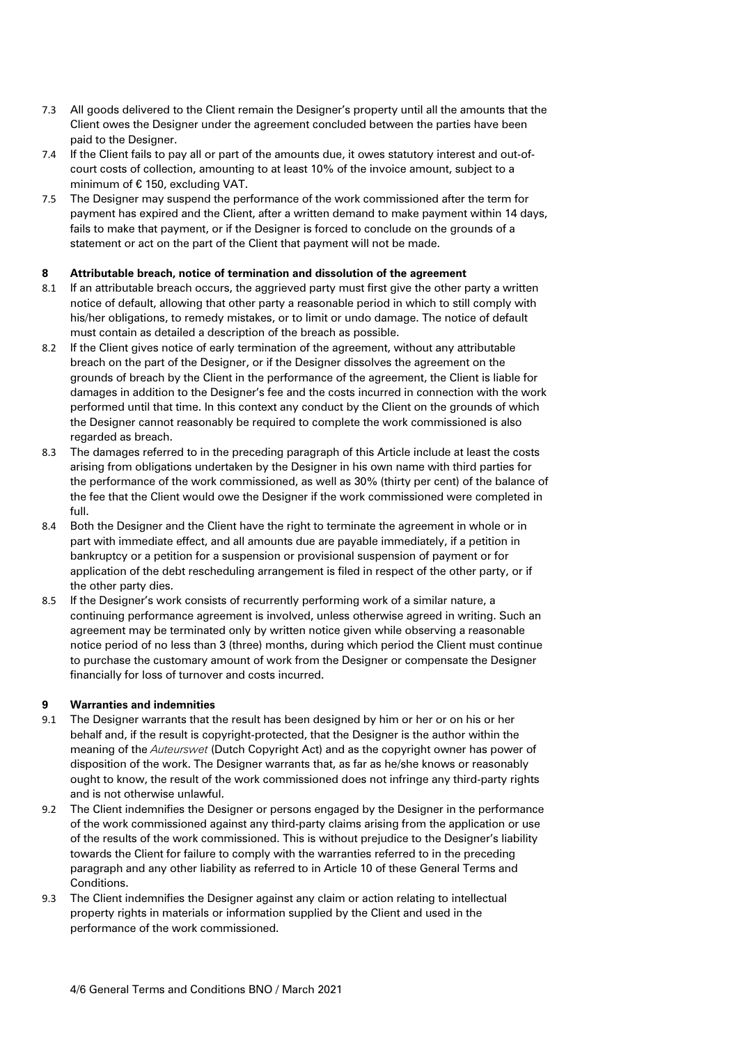- 7.3 All goods delivered to the Client remain the Designer's property until all the amounts that the Client owes the Designer under the agreement concluded between the parties have been paid to the Designer.
- 7.4 If the Client fails to pay all or part of the amounts due, it owes statutory interest and out-ofcourt costs of collection, amounting to at least 10% of the invoice amount, subject to a minimum of € 150, excluding VAT.
- 7.5 The Designer may suspend the performance of the work commissioned after the term for payment has expired and the Client, after a written demand to make payment within 14 days, fails to make that payment, or if the Designer is forced to conclude on the grounds of a statement or act on the part of the Client that payment will not be made.

## **8 Attributable breach, notice of termination and dissolution of the agreement**

- 8.1 If an attributable breach occurs, the aggrieved party must first give the other party a written notice of default, allowing that other party a reasonable period in which to still comply with his/her obligations, to remedy mistakes, or to limit or undo damage. The notice of default must contain as detailed a description of the breach as possible.
- 8.2 If the Client gives notice of early termination of the agreement, without any attributable breach on the part of the Designer, or if the Designer dissolves the agreement on the grounds of breach by the Client in the performance of the agreement, the Client is liable for damages in addition to the Designer's fee and the costs incurred in connection with the work performed until that time. In this context any conduct by the Client on the grounds of which the Designer cannot reasonably be required to complete the work commissioned is also regarded as breach.
- 8.3 The damages referred to in the preceding paragraph of this Article include at least the costs arising from obligations undertaken by the Designer in his own name with third parties for the performance of the work commissioned, as well as 30% (thirty per cent) of the balance of the fee that the Client would owe the Designer if the work commissioned were completed in full.
- 8.4 Both the Designer and the Client have the right to terminate the agreement in whole or in part with immediate effect, and all amounts due are payable immediately, if a petition in bankruptcy or a petition for a suspension or provisional suspension of payment or for application of the debt rescheduling arrangement is filed in respect of the other party, or if the other party dies.
- 8.5 If the Designer's work consists of recurrently performing work of a similar nature, a continuing performance agreement is involved, unless otherwise agreed in writing. Such an agreement may be terminated only by written notice given while observing a reasonable notice period of no less than 3 (three) months, during which period the Client must continue to purchase the customary amount of work from the Designer or compensate the Designer financially for loss of turnover and costs incurred.

## **9 Warranties and indemnities**

- 9.1 The Designer warrants that the result has been designed by him or her or on his or her behalf and, if the result is copyright-protected, that the Designer is the author within the meaning of the *Auteurswet* (Dutch Copyright Act) and as the copyright owner has power of disposition of the work. The Designer warrants that, as far as he/she knows or reasonably ought to know, the result of the work commissioned does not infringe any third-party rights and is not otherwise unlawful.
- 9.2 The Client indemnifies the Designer or persons engaged by the Designer in the performance of the work commissioned against any third-party claims arising from the application or use of the results of the work commissioned. This is without prejudice to the Designer's liability towards the Client for failure to comply with the warranties referred to in the preceding paragraph and any other liability as referred to in Article 10 of these General Terms and Conditions.
- 9.3 The Client indemnifies the Designer against any claim or action relating to intellectual property rights in materials or information supplied by the Client and used in the performance of the work commissioned.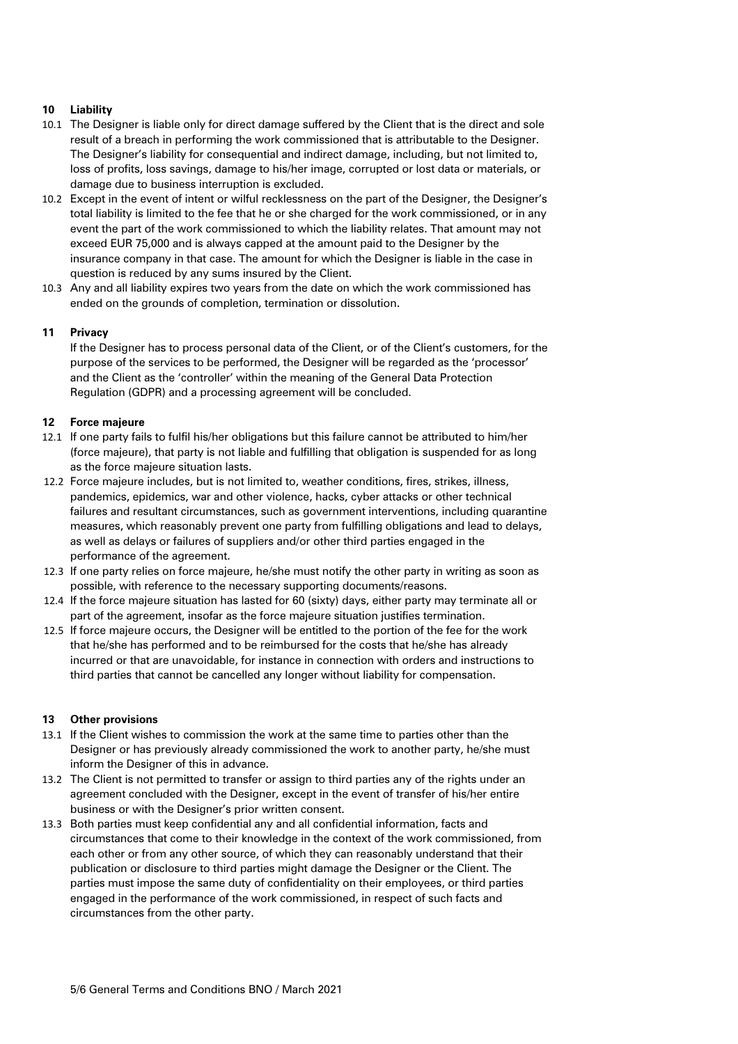# **10 Liability**

- 10.1 The Designer is liable only for direct damage suffered by the Client that is the direct and sole result of a breach in performing the work commissioned that is attributable to the Designer. The Designer's liability for consequential and indirect damage, including, but not limited to, loss of profits, loss savings, damage to his/her image, corrupted or lost data or materials, or damage due to business interruption is excluded.
- 10.2 Except in the event of intent or wilful recklessness on the part of the Designer, the Designer's total liability is limited to the fee that he or she charged for the work commissioned, or in any event the part of the work commissioned to which the liability relates. That amount may not exceed EUR 75,000 and is always capped at the amount paid to the Designer by the insurance company in that case. The amount for which the Designer is liable in the case in question is reduced by any sums insured by the Client.
- 10.3 Any and all liability expires two years from the date on which the work commissioned has ended on the grounds of completion, termination or dissolution.

## **11 Privacy**

If the Designer has to process personal data of the Client, or of the Client's customers, for the purpose of the services to be performed, the Designer will be regarded as the 'processor' and the Client as the 'controller' within the meaning of the General Data Protection Regulation (GDPR) and a processing agreement will be concluded.

## **12 Force majeure**

- 12.1 If one party fails to fulfil his/her obligations but this failure cannot be attributed to him/her (force majeure), that party is not liable and fulfilling that obligation is suspended for as long as the force majeure situation lasts.
- 12.2 Force majeure includes, but is not limited to, weather conditions, fires, strikes, illness, pandemics, epidemics, war and other violence, hacks, cyber attacks or other technical failures and resultant circumstances, such as government interventions, including quarantine measures, which reasonably prevent one party from fulfilling obligations and lead to delays, as well as delays or failures of suppliers and/or other third parties engaged in the performance of the agreement.
- 12.3 If one party relies on force majeure, he/she must notify the other party in writing as soon as possible, with reference to the necessary supporting documents/reasons.
- 12.4 If the force majeure situation has lasted for 60 (sixty) days, either party may terminate all or part of the agreement, insofar as the force majeure situation justifies termination.
- 12.5 If force majeure occurs, the Designer will be entitled to the portion of the fee for the work that he/she has performed and to be reimbursed for the costs that he/she has already incurred or that are unavoidable, for instance in connection with orders and instructions to third parties that cannot be cancelled any longer without liability for compensation.

## **13 Other provisions**

- 13.1 If the Client wishes to commission the work at the same time to parties other than the Designer or has previously already commissioned the work to another party, he/she must inform the Designer of this in advance.
- 13.2 The Client is not permitted to transfer or assign to third parties any of the rights under an agreement concluded with the Designer, except in the event of transfer of his/her entire business or with the Designer's prior written consent.
- 13.3 Both parties must keep confidential any and all confidential information, facts and circumstances that come to their knowledge in the context of the work commissioned, from each other or from any other source, of which they can reasonably understand that their publication or disclosure to third parties might damage the Designer or the Client. The parties must impose the same duty of confidentiality on their employees, or third parties engaged in the performance of the work commissioned, in respect of such facts and circumstances from the other party.